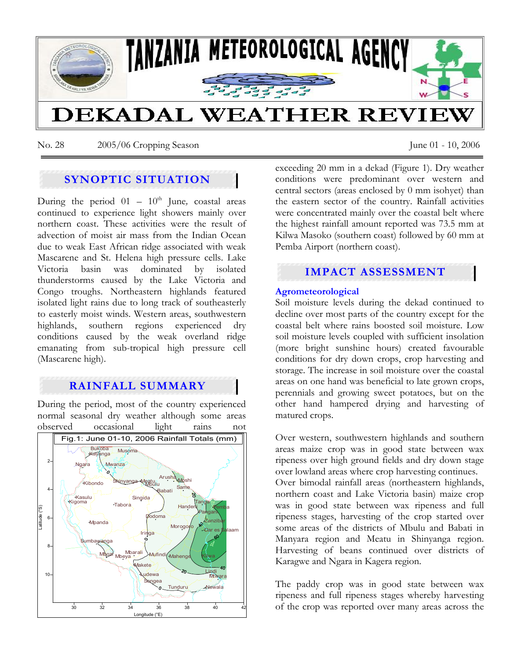

No. 28 2005/06 Cropping Season June 01 - 10, 2006

# **SYNOPTIC SITUATION**

During the period  $01 - 10^{th}$  June, coastal areas continued to experience light showers mainly over northern coast. These activities were the result of advection of moist air mass from the Indian Ocean due to weak East African ridge associated with weak Mascarene and St. Helena high pressure cells. Lake Victoria basin was dominated by isolated thunderstorms caused by the Lake Victoria and Congo troughs. Northeastern highlands featured isolated light rains due to long track of southeasterly to easterly moist winds. Western areas, southwestern highlands, southern regions experienced dry conditions caused by the weak overland ridge emanating from sub-tropical high pressure cell (Mascarene high).

# **RAINFALL SUMMARY**

During the period, most of the country experienced normal seasonal dry weather although some areas observed occasional light rains not



exceeding 20 mm in a dekad (Figure 1). Dry weather conditions were predominant over western and central sectors (areas enclosed by 0 mm isohyet) than the eastern sector of the country. Rainfall activities were concentrated mainly over the coastal belt where the highest rainfall amount reported was 73.5 mm at Kilwa Masoko (southern coast) followed by 60 mm at Pemba Airport (northern coast).

# **IMPACT ASSESSMENT**

## **Agrometeorological**

Soil moisture levels during the dekad continued to decline over most parts of the country except for the coastal belt where rains boosted soil moisture. Low soil moisture levels coupled with sufficient insolation (more bright sunshine hours) created favourable conditions for dry down crops, crop harvesting and storage. The increase in soil moisture over the coastal areas on one hand was beneficial to late grown crops, perennials and growing sweet potatoes, but on the other hand hampered drying and harvesting of matured crops.

Over western, southwestern highlands and southern areas maize crop was in good state between wax ripeness over high ground fields and dry down stage over lowland areas where crop harvesting continues. Over bimodal rainfall areas (northeastern highlands, northern coast and Lake Victoria basin) maize crop was in good state between wax ripeness and full ripeness stages, harvesting of the crop started over some areas of the districts of Mbulu and Babati in Manyara region and Meatu in Shinyanga region. Harvesting of beans continued over districts of Karagwe and Ngara in Kagera region.

The paddy crop was in good state between wax ripeness and full ripeness stages whereby harvesting of the crop was reported over many areas across the